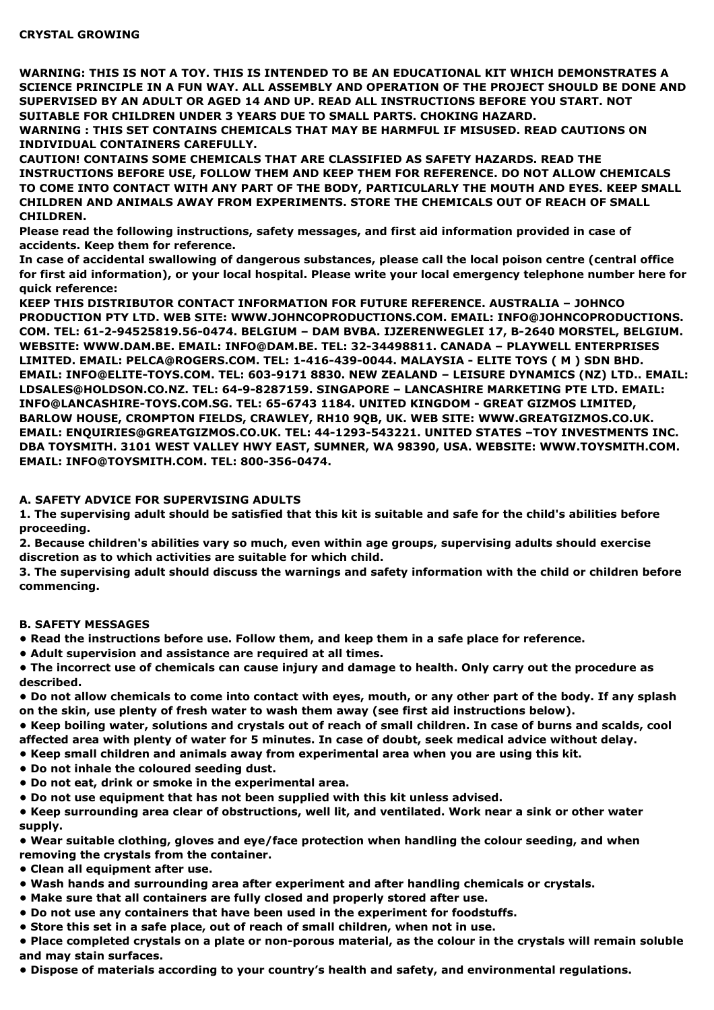**WARNING: THIS IS NOT A TOY. THIS IS INTENDED TO BE AN EDUCATIONAL KIT WHICH DEMONSTRATES A SCIENCE PRINCIPLE IN A FUN WAY. ALL ASSEMBLY AND OPERATION OF THE PROJECT SHOULD BE DONE AND SUPERVISED BY AN ADULT OR AGED 14 AND UP. READ ALL INSTRUCTIONS BEFORE YOU START. NOT SUITABLE FOR CHILDREN UNDER 3 YEARS DUE TO SMALL PARTS. CHOKING HAZARD.**

**WARNING : THIS SET CONTAINS CHEMICALS THAT MAY BE HARMFUL IF MISUSED. READ CAUTIONS ON INDIVIDUAL CONTAINERS CAREFULLY.**

**CAUTION! CONTAINS SOME CHEMICALS THAT ARE CLASSIFIED AS SAFETY HAZARDS. READ THE INSTRUCTIONS BEFORE USE, FOLLOW THEM AND KEEP THEM FOR REFERENCE. DO NOT ALLOW CHEMICALS TO COME INTO CONTACT WITH ANY PART OF THE BODY, PARTICULARLY THE MOUTH AND EYES. KEEP SMALL CHILDREN AND ANIMALS AWAY FROM EXPERIMENTS. STORE THE CHEMICALS OUT OF REACH OF SMALL CHILDREN.**

**Please read the following instructions, safety messages, and first aid information provided in case of accidents. Keep them for reference.**

**In case of accidental swallowing of dangerous substances, please call the local poison centre (central office** for first aid information), or your local hospital. Please write your local emergency telephone number here for **quick reference:**

**KEEP THIS DISTRIBUTOR CONTACT INFORMATION FOR FUTURE REFERENCE. AUSTRALIA – JOHNCO PRODUCTION PTY LTD. WEB SITE: WWW.JOHNCOPRODUCTIONS.COM. EMAIL: INFO@JOHNCOPRODUCTIONS. COM. TEL: 61-2-94525819.56-0474. BELGIUM – DAM BVBA. IJZERENWEGLEI 17, B-2640 MORSTEL, BELGIUM. WEBSITE: WWW.DAM.BE. EMAIL: INFO@DAM.BE. TEL: 32-34498811. CANADA – PLAYWELL ENTERPRISES LIMITED. EMAIL: PELCA@ROGERS.COM. TEL: 1-416-439-0044. MALAYSIA - ELITE TOYS ( M ) SDN BHD. EMAIL: INFO@ELITE-TOYS.COM. TEL: 603-9171 8830. NEW ZEALAND – LEISURE DYNAMICS (NZ) LTD.. EMAIL: LDSALES@HOLDSON.CO.NZ. TEL: 64-9-8287159. SINGAPORE – LANCASHIRE MARKETING PTE LTD. EMAIL: INFO@LANCASHIRE-TOYS.COM.SG. TEL: 65-6743 1184. UNITED KINGDOM - GREAT GIZMOS LIMITED, BARLOW HOUSE, CROMPTON FIELDS, CRAWLEY, RH10 9QB, UK. WEB SITE: WWW.GREATGIZMOS.CO.UK. EMAIL: ENQUIRIES@GREATGIZMOS.CO.UK. TEL: 44-1293-543221. UNITED STATES –TOY INVESTMENTS INC. DBA TOYSMITH. 3101 WEST VALLEY HWY EAST, SUMNER, WA 98390, USA. WEBSITE: WWW.TOYSMITH.COM. EMAIL: INFO@TOYSMITH.COM. TEL: 800-356-0474.**

## **A. SAFETY ADVICE FOR SUPERVISING ADULTS**

1. The supervising adult should be satisfied that this kit is suitable and safe for the child's abilities before **proceeding.**

**2. Because children's abilities vary so much, even within age groups, supervising adults should exercise discretion as to which activities are suitable for which child.**

3. The supervising adult should discuss the warnings and safety information with the child or children before **commencing.**

### **B. SAFETY MESSAGES**

**• Read the instructions before use. Follow them, and keep them in a safe place for reference.**

**• Adult supervision and assistance are required at all times.**

• The incorrect use of chemicals can cause injury and damage to health. Only carry out the procedure as **described.**

• Do not allow chemicals to come into contact with eyes, mouth, or any other part of the body. If any splash **on the skin, use plenty of fresh water to wash them away (see first aid instructions below).**

. Keep boiling water, solutions and crystals out of reach of small children. In case of burns and scalds, cool **affected area with plenty of water for 5 minutes. In case of doubt, seek medical advice without delay.**

**• Keep small children and animals away from experimental area when you are using this kit.**

- **• Do not inhale the coloured seeding dust.**
- **• Do not eat, drink or smoke in the experimental area.**
- **• Do not use equipment that has not been supplied with this kit unless advised.**

• Keep surrounding area clear of obstructions, well lit, and ventilated. Work near a sink or other water **supply.**

**• Wear suitable clothing, gloves and eye/face protection when handling the colour seeding, and when removing the crystals from the container.**

- **• Clean all equipment after use.**
- **• Wash hands and surrounding area after experiment and after handling chemicals or crystals.**
- **• Make sure that all containers are fully closed and properly stored after use.**
- **• Do not use any containers that have been used in the experiment for foodstuffs.**
- **• Store this set in a safe place, out of reach of small children, when not in use.**

. Place completed crystals on a plate or non-porous material, as the colour in the crystals will remain soluble **and may stain surfaces.**

**• Dispose of materials according to your country's health and safety, and environmental regulations.**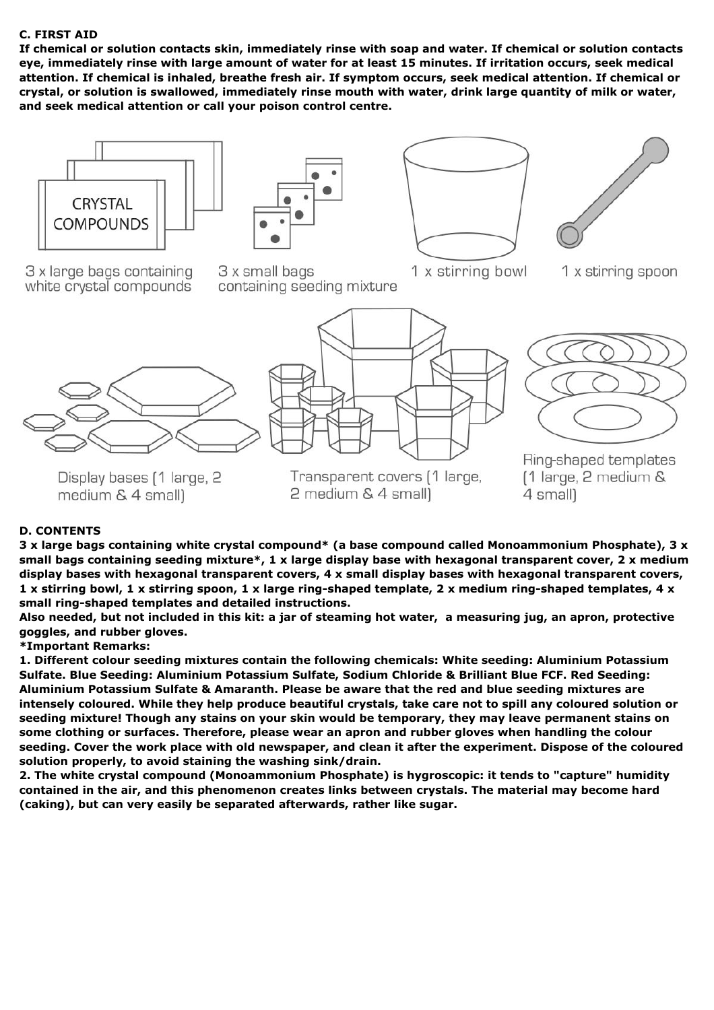## **C. FIRST AID**

**If chemical or solution contacts skin, immediately rinse with soap and water. If chemical or solution contacts** eye, immediately rinse with large amount of water for at least 15 minutes. If irritation occurs, seek medical attention. If chemical is inhaled, breathe fresh air. If symptom occurs, seek medical attention. If chemical or **crystal, or solution is swallowed, immediately rinse mouth with water, drink large quantity of milk or water, and seek medical attention or call your poison control centre.**









3 x large bags containing white crystal compounds 3 x small bags containing seeding mixture

- 1 x stirring bowl
- 1 x stirring spoon



Display bases [1 large, 2 medium & 4 small)



2 medium & 4 small)



Ring-shaped templates  $\lceil 1 \rceil$  large, 2 medium & 4 small)

# **D. CONTENTS**

**3 x large bags containing white crystal compound\* (a base compound called Monoammonium Phosphate), 3 x** small bags containing seeding mixture\*, 1 x large display base with hexagonal transparent cover, 2 x medium **display bases with hexagonal transparent covers, 4 x small display bases with hexagonal transparent covers,** 1 x stirring bowl, 1 x stirring spoon, 1 x large ring-shaped template, 2 x medium ring-shaped templates, 4 x **small ring-shaped templates and detailed instructions.**

Also needed, but not included in this kit: a jar of steaming hot water, a measuring jug, an apron, protective **goggles, and rubber gloves.**

#### **\*Important Remarks:**

**1. Different colour seeding mixtures contain the following chemicals: White seeding: Aluminium Potassium Sulfate. Blue Seeding: Aluminium Potassium Sulfate, Sodium Chloride & Brilliant Blue FCF. Red Seeding: Aluminium Potassium Sulfate & Amaranth. Please be aware that the red and blue seeding mixtures are** intensely coloured. While they help produce beautiful crystals, take care not to spill any coloured solution or **seeding mixture! Though any stains on your skin would be temporary, they may leave permanent stains on some clothing or surfaces. Therefore, please wear an apron and rubber gloves when handling the colour** seeding. Cover the work place with old newspaper, and clean it after the experiment. Dispose of the coloured **solution properly, to avoid staining the washing sink/drain.**

**2. The white crystal compound (Monoammonium Phosphate) is hygroscopic: it tends to "capture" humidity contained in the air, and this phenomenon creates links between crystals. The material may become hard (caking), but can very easily be separated afterwards, rather like sugar.**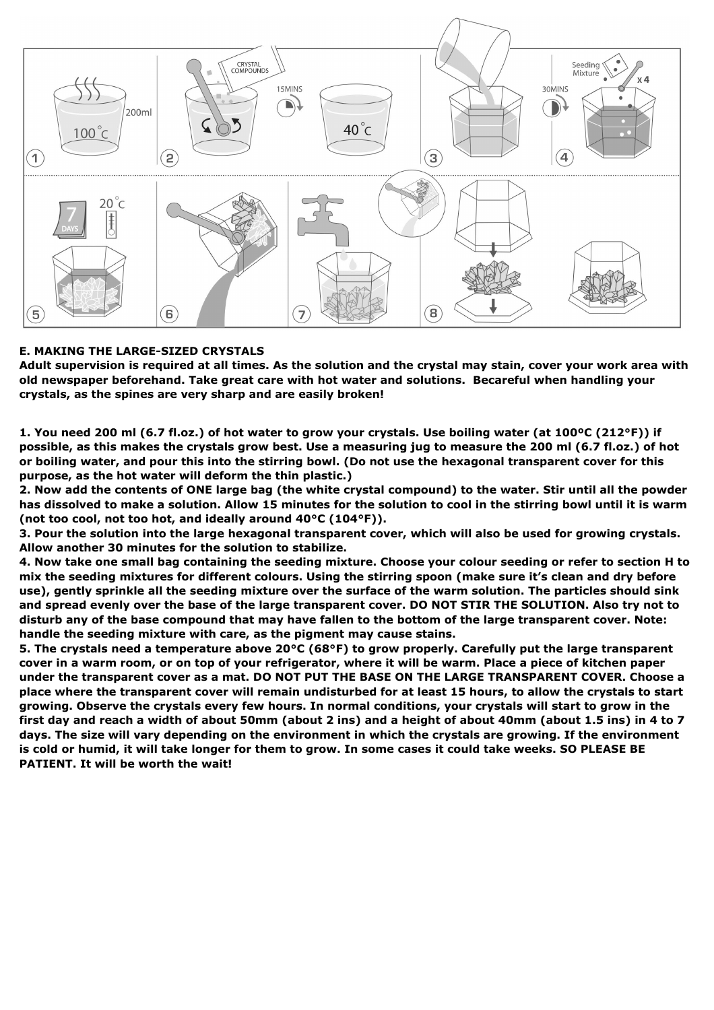

## **E. MAKING THE LARGE-SIZED CRYSTALS**

Adult supervision is required at all times. As the solution and the crystal may stain, cover your work area with **old newspaper beforehand. Take great care with hot water and solutions. Becareful when handling your crystals, as the spines are very sharp and are easily broken!**

1. You need 200 ml (6.7 fl.oz.) of hot water to grow your crystals. Use boiling water (at 100°C (212°F)) if possible, as this makes the crystals grow best. Use a measuring jug to measure the 200 ml (6.7 fl.oz.) of hot or boiling water, and pour this into the stirring bowl. (Do not use the hexagonal transparent cover for this **purpose, as the hot water will deform the thin plastic.)**

2. Now add the contents of ONE large bag (the white crystal compound) to the water. Stir until all the powder has dissolved to make a solution. Allow 15 minutes for the solution to cool in the stirring bowl until it is warm **(not too cool, not too hot, and ideally around 40°C (104°F)).**

3. Pour the solution into the large hexagonal transparent cover, which will also be used for growing crystals. **Allow another 30 minutes for the solution to stabilize.**

4. Now take one small bag containing the seeding mixture. Choose your colour seeding or refer to section H to mix the seeding mixtures for different colours. Using the stirring spoon (make sure it's clean and dry before use), gently sprinkle all the seeding mixture over the surface of the warm solution. The particles should sink and spread evenly over the base of the large transparent cover. DO NOT STIR THE SOLUTION. Also try not to disturb any of the base compound that may have fallen to the bottom of the large transparent cover. Note: **handle the seeding mixture with care, as the pigment may cause stains.**

5. The crystals need a temperature above 20°C (68°F) to grow properly. Carefully put the large transparent cover in a warm room, or on top of your refrigerator, where it will be warm. Place a piece of kitchen paper under the transparent cover as a mat. DO NOT PUT THE BASE ON THE LARGE TRANSPARENT COVER. Choose a place where the transparent cover will remain undisturbed for at least 15 hours, to allow the crystals to start growing. Observe the crystals every few hours. In normal conditions, your crystals will start to grow in the first day and reach a width of about 50mm (about 2 ins) and a height of about 40mm (about 1.5 ins) in 4 to 7 days. The size will vary depending on the environment in which the crystals are growing. If the environment is cold or humid, it will take longer for them to grow. In some cases it could take weeks. SO PLEASE BE **PATIENT. It will be worth the wait!**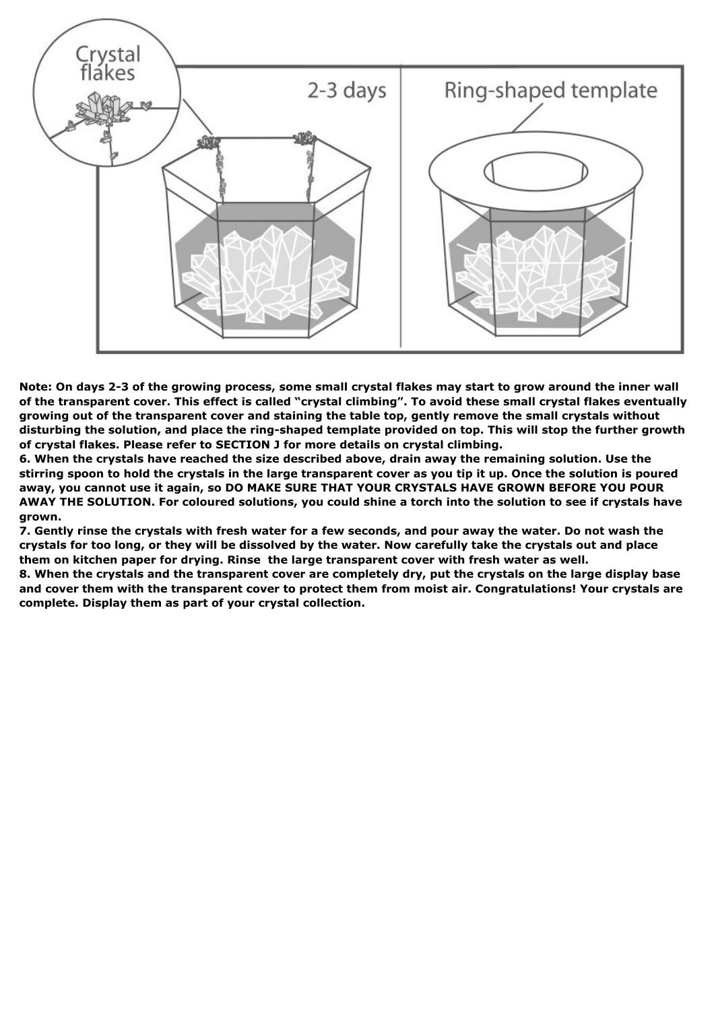

Note: On days 2-3 of the growing process, some small crystal flakes may start to grow around the inner wall of the transparent cover. This effect is called "crystal climbing". To avoid these small crystal flakes eventually **growing out of the transparent cover and staining the table top, gently remove the small crystals without** disturbing the solution, and place the ring-shaped template provided on top. This will stop the further growth **of crystal flakes. Please refer to SECTION J for more details on crystal climbing.**

**6. When the crystals have reached the size described above, drain away the remaining solution. Use the** stirring spoon to hold the crystals in the large transparent cover as you tip it up. Once the solution is poured **away, you cannot use it again, so DO MAKE SURE THAT YOUR CRYSTALS HAVE GROWN BEFORE YOU POUR** AWAY THE SOLUTION. For coloured solutions, you could shine a torch into the solution to see if crystals have **grown.**

7. Gently rinse the crystals with fresh water for a few seconds, and pour away the water. Do not wash the crystals for too long, or they will be dissolved by the water. Now carefully take the crystals out and place **them on kitchen paper for drying. Rinse the large transparent cover with fresh water as well.**

8. When the crystals and the transparent cover are completely dry, put the crystals on the large display base **and cover them with the transparent cover to protect them from moist air. Congratulations! Your crystals are complete. Display them as part of your crystal collection.**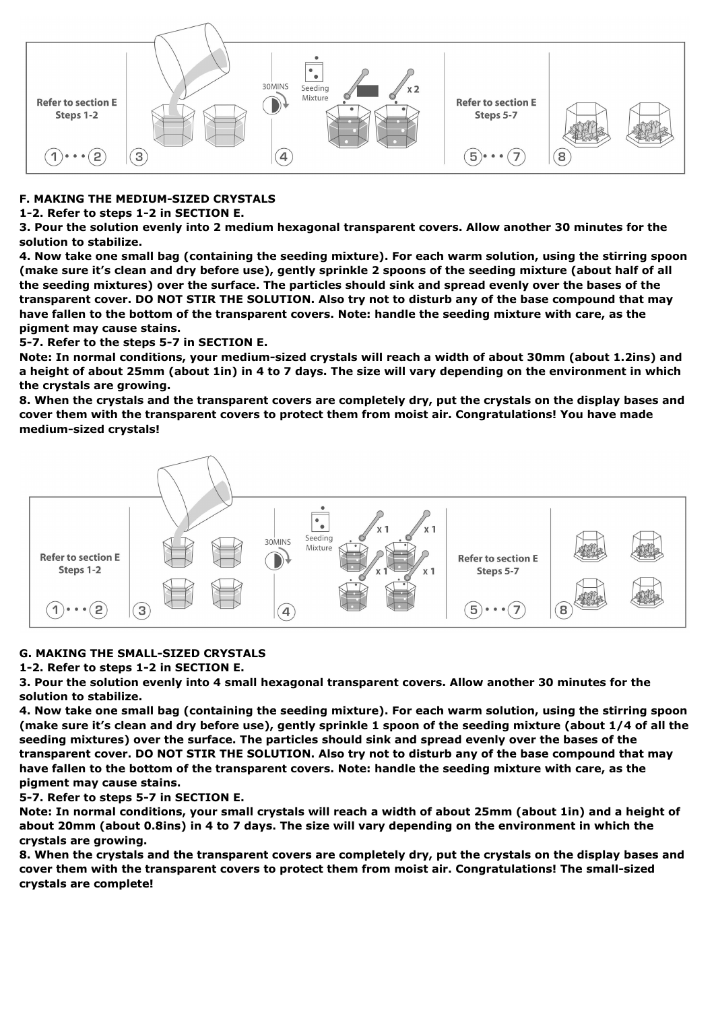

# **F. MAKING THE MEDIUM-SIZED CRYSTALS**

**1-2. Refer to steps 1-2 in SECTION E.**

**3. Pour the solution evenly into 2 medium hexagonal transparent covers. Allow another 30 minutes for the solution to stabilize.**

4. Now take one small bag (containing the seeding mixture). For each warm solution, using the stirring spoon (make sure it's clean and dry before use), gently sprinkle 2 spoons of the seeding mixture (about half of all the seeding mixtures) over the surface. The particles should sink and spread evenly over the bases of the transparent cover. DO NOT STIR THE SOLUTION. Also try not to disturb any of the base compound that may have fallen to the bottom of the transparent covers. Note: handle the seeding mixture with care, as the **pigment may cause stains.**

**5-7. Refer to the steps 5-7 in SECTION E.**

Note: In normal conditions, your medium-sized crystals will reach a width of about 30mm (about 1.2ins) and a height of about 25mm (about 1in) in 4 to 7 days. The size will vary depending on the environment in which **the crystals are growing.**

8. When the crystals and the transparent covers are completely dry, put the crystals on the display bases and **cover them with the transparent covers to protect them from moist air. Congratulations! You have made medium-sized crystals!**



# **G. MAKING THE SMALL-SIZED CRYSTALS**

**1-2. Refer to steps 1-2 in SECTION E.**

**3. Pour the solution evenly into 4 small hexagonal transparent covers. Allow another 30 minutes for the solution to stabilize.**

4. Now take one small bag (containing the seeding mixture). For each warm solution, using the stirring spoon (make sure it's clean and dry before use), gently sprinkle 1 spoon of the seeding mixture (about 1/4 of all the **seeding mixtures) over the surface. The particles should sink and spread evenly over the bases of the** transparent cover. DO NOT STIR THE SOLUTION. Also try not to disturb any of the base compound that may have fallen to the bottom of the transparent covers. Note: handle the seeding mixture with care, as the **pigment may cause stains.**

**5-7. Refer to steps 5-7 in SECTION E.**

Note: In normal conditions, your small crystals will reach a width of about 25mm (about 1in) and a height of about 20mm (about 0.8ins) in 4 to 7 days. The size will vary depending on the environment in which the **crystals are growing.**

8. When the crystals and the transparent covers are completely dry, put the crystals on the display bases and **cover them with the transparent covers to protect them from moist air. Congratulations! The small-sized crystals are complete!**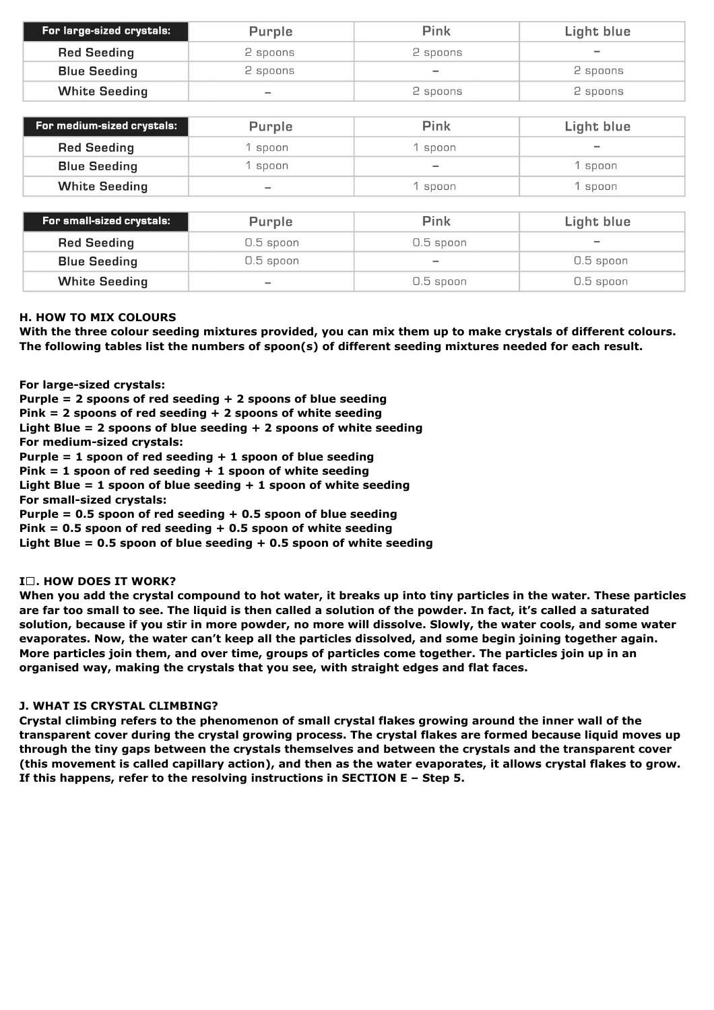| For large-sized crystals: | Purple                   | Pink     | Light blue |
|---------------------------|--------------------------|----------|------------|
| <b>Red Seeding</b>        | 2 spoons                 | 2 spoons | $\equiv$   |
| <b>Blue Seeding</b>       | 2 spoons                 | $\equiv$ | 2 spoons   |
| <b>White Seeding</b>      | $\overline{\phantom{a}}$ | 2 spoons | 2 spoons   |

| For medium-sized crystals: | Purple | Pink                     | Light blue |
|----------------------------|--------|--------------------------|------------|
| <b>Red Seeding</b>         | spoon  | spoon                    | $\sim$     |
| <b>Blue Seeding</b>        | spoon  | $\overline{\phantom{a}}$ | spoon      |
| <b>White Seeding</b>       | $\sim$ | spoon                    | spoon      |

| For small-sized crystals: | Purple      | Pink        | Light blue  |
|---------------------------|-------------|-------------|-------------|
| <b>Red Seeding</b>        | $0.5$ spoon | 0.5 spoon   | $\sim$      |
| <b>Blue Seeding</b>       | $0.5$ spoon | $\equiv$    | $0.5$ spoon |
| <b>White Seeding</b>      | $\equiv$    | $0.5$ spoon | 0.5 spoon   |

### **H. HOW TO MIX COLOURS**

With the three colour seeding mixtures provided, you can mix them up to make crystals of different colours. **The following tables list the numbers of spoon(s) of different seeding mixtures needed for each result.**

**For large-sized crystals:**

**Purple = 2 spoons of red seeding + 2 spoons of blue seeding Pink = 2 spoons of red seeding + 2 spoons of white seeding**

**Light Blue = 2 spoons of blue seeding + 2 spoons of white seeding**

**For medium-sized crystals:**

**Purple = 1 spoon of red seeding + 1 spoon of blue seeding**

**Pink = 1 spoon of red seeding + 1 spoon of white seeding**

**Light Blue = 1 spoon of blue seeding + 1 spoon of white seeding**

**For small-sized crystals:**

**Purple = 0.5 spoon of red seeding + 0.5 spoon of blue seeding**

**Pink = 0.5 spoon of red seeding + 0.5 spoon of white seeding**

**Light Blue = 0.5 spoon of blue seeding + 0.5 spoon of white seeding**

# **I . HOW DOES IT WORK?**

When you add the crystal compound to hot water, it breaks up into tiny particles in the water. These particles are far too small to see. The liquid is then called a solution of the powder. In fact, it's called a saturated solution, because if you stir in more powder, no more will dissolve. Slowly, the water cools, and some water **evaporates. Now, the water can't keep all the particles dissolved, and some begin joining together again.** More particles join them, and over time, groups of particles come together. The particles join up in an **organised way, making the crystals that you see, with straight edges and flat faces.**

#### **J. WHAT IS CRYSTAL CLIMBING?**

**Crystal climbing refers to the phenomenon of small crystal flakes growing around the inner wall of the transparent cover during the crystal growing process. The crystal flakes are formed because liquid moves up through the tiny gaps between the crystals themselves and between the crystals and the transparent cover** (this movement is called capillary action), and then as the water evaporates, it allows crystal flakes to grow. **If this happens, refer to the resolving instructions in SECTION E – Step 5.**